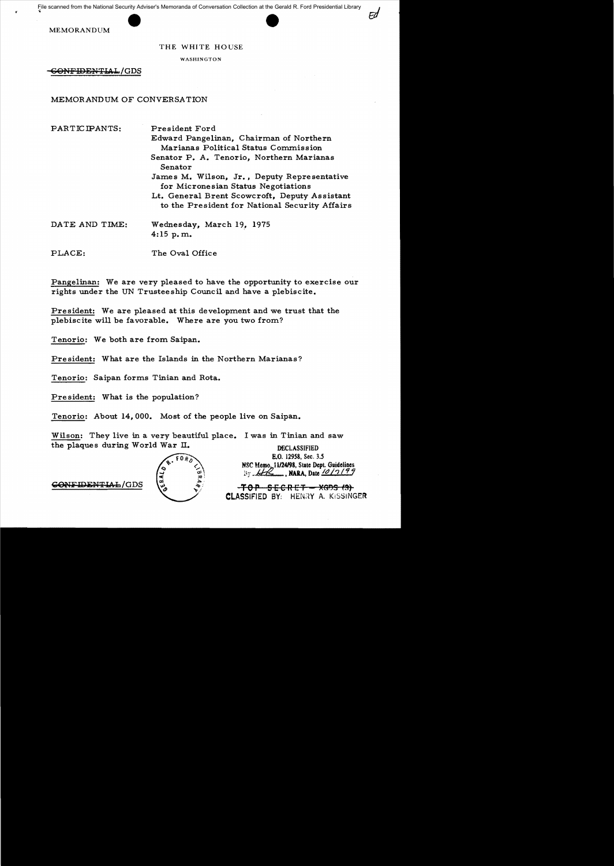File scanned from the National Security Adviser's Memoranda of Conversation Collection at the Gerald R. Ford Presidential Library

MEMORANDUM

## THE WHITE HOUSE

WASHINGTON

CONFIDENTIAL/GDS

# MEMORANDUM OF CONVERSATION

| PARTICIPANTS:  | President Ford                                                                                  |
|----------------|-------------------------------------------------------------------------------------------------|
|                | Edward Pangelinan, Chairman of Northern<br>Marianas Political Status Commission                 |
|                | Senator P. A. Tenorio, Northern Marianas<br>Senator                                             |
|                | James M. Wilson, Jr., Deputy Representative<br>for Micronesian Status Negotiations              |
|                | Lt. General Brent Scowcroft, Deputy Assistant<br>to the President for National Security Affairs |
| DATE AND TIME: | Wednesday, March 19, 1975<br>$4:15$ p.m.                                                        |
| PLACE:         | The Oval Office                                                                                 |

Pangelinan: We are very pleased to have the opportunity to exercise our rights under the UN Trusteeship Council and have a plebiscite.

President: We are pleased at this development and we trust that the plebiscite will be favorable. Where are you two from?

Tenorio: We both are from Saipan.

President: What are the Islands in the Northern Marianas?

Tenorio: Saipan forms Tinian and Rota.

President: What is the population?

Tenorio: About 14,000. Most of the people live on Saipan.

Wilson: They live in a very beautiful place. I was in Tinian and saw the plaques during World War II. DECLASSIFIED



E.O. 12958. Sec. 3.5 NSC Memo, 11/24/98, State Dept. Guidelines 19. HH \_\_\_\_, NARA, Date <u>10/7/9</u>9 Fd

**CLASSIFIED BY: HENRY A. KISSINGER**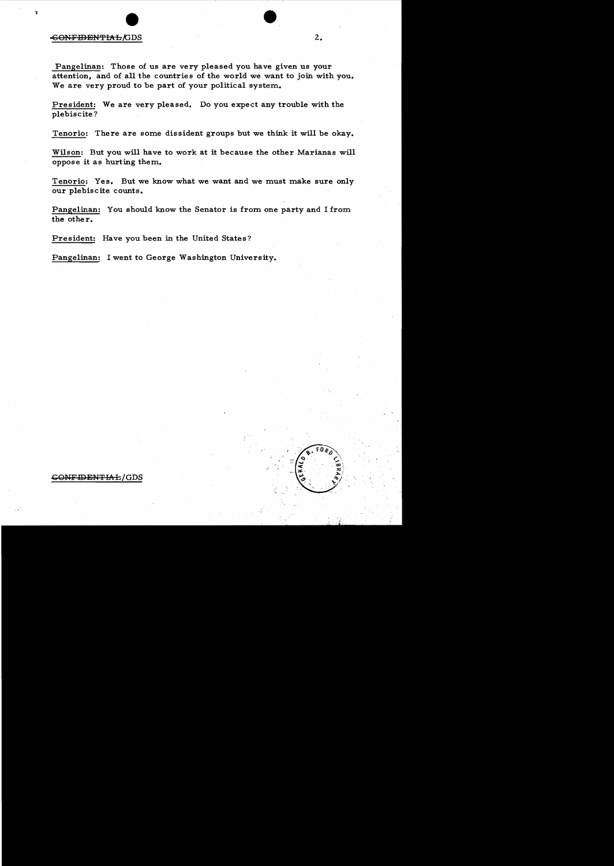## **CONFIDENTIAL/GDS** 2.

Pangelinan: Those of us are very pleased you have given us your attention, and of all the countries of the world we want to join with you. We are very proud to be part of your political system.

President: We are very pleased. Do you expect any trouble with the plebiscite?

Tenorio: There are some dissident groups but we think it will be okay.

Wilson: But you will have to work at it because the other Marianas will oppose it as hurting them.

Tenorio: Yes. But we know what we want and we must make sure only our plebiscite counts.

Pangelinan: You should know the Senator is from one party and I from the other.

President: Have you been in the United States?

Pangelinan: I went to George Washington University.

#### CONFIDENTIAL/GDS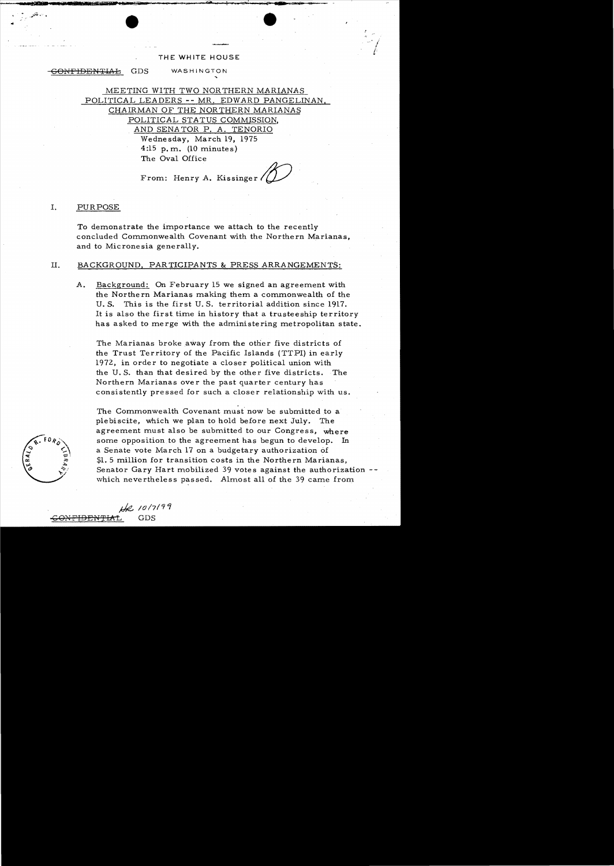# THE WHITE HOUSE

### HATIDENTIAL GDS WASHINGTON

MEETING WITH TWO NORTHERN MARIANAS POLITICAL LEADERS -- MR. EDWARD PANGELINAN, CHAIRMAN OF THE NOR THERN MARIANAS POLITICAL STATUS COMMISSION, AND SENA TOR P. A. TENORIO Wednesday, March 19. 1975 4 :15 p. m. (10 minute s) The Oval Office

From: Henry A. Kissinger ~

#### I. PURPOSE

To demonstrate the importance we attach to the recently concluded Commonwealth Covenant with the Northern Marianas, and to Micronesia generally.

## II. BACKGROUND, PARTICIPANTS & PRESS ARRANGEMENTS:

A. Background: On February 15 we signed an agreement with the Northern Marianas making them a commonwealth of the U. S. This is the first U. S. territorial addition since 1917. It is also the first time in history that a trusteeship territory has asked to merge with the administering metropolitan state.

The Marianas broke away from the other five districts of the Trust Territory of the Pacific Islands (TTPI) in early 1972, in order to negotiate a closer political union with the U.S. than that desired by the other five districts. The Northern Marianas over the past quarter century has consistently pressed for such a closer relationship with us.

The Commonwealth Covenant must now be submitted to a pie biscite. which we plan to hold before next July. The agreement must also be submitted to our Congress, where some opposition to the agreement has begun to develop. In a Senate vote March 17 on a budgetary authorization of \$1. 5 million for transition costs in the Northern Marianas, Senator Gary Hart mobilized 39 votes against the authorization -which nevertheless passed. Almost all of the 39 came from

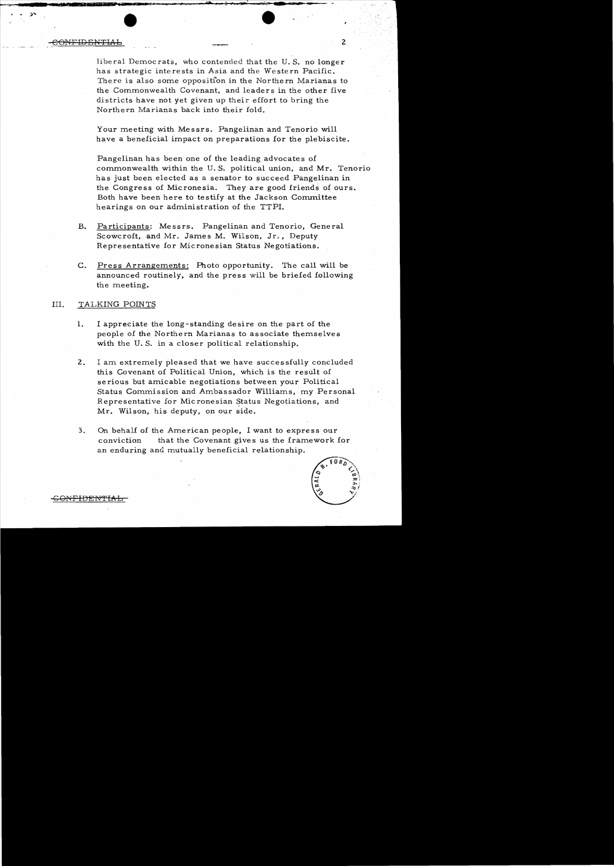liberal Democrats, who contended that the U. S. no longer has strategic interests in Asia and the Western Pacific. There is also some opposition in the Northern Marianas to the Commonwealth Covenant, and leaders in the other five districts have not yet given up their effort to bring the Northern Marianas back into their fold.

Your meeting with Messrs. Pangelinan and Tenorio will have a beneficial impact on preparations for the plebiscite.

Pangelinan has been one of the leading advocates of commonwealth within the U. S. political union, and Mr. Tenorio has just been elected as a senator to succeed Pangelinan in the Congress of Micronesia. They are good friends of ours. Both have been here to testify at the Jackson Committee hearings on our administration of the TTPI.

- B. Participants: Messrs. Pangelinan and Tenorio, General Scowcroft, and Mr. James M. Wilson, Jr., Deputy Representative for Micronesian Status Negotiations.
- C. Press Arrangements: Photo opportunity. The call will be announced routinely, and the press will be briefed following the meeting.

### III. TALKING POINTS

- 1. I appreciate the long-standing desire on the part of the people of the Northern Marianas to associate themselves with the U. S. in a closer political relationship.
- 2. I am extremely pleased that we have successfully concluded this Covenant of Political Union, which is the result of se rious but amicable negotiations between your Political Status Commission and Ambassador Williams, *my* Personal Representative for Micronesian Status Negotiations, and Mr. Wilson, his deputy, on our side.
- 3. On behalf of the American people, I want to express our conviction that the Covenant gives us the framework for an enduring and mutually beneficial relationship.



<del>. F J D R N T I A L .</del>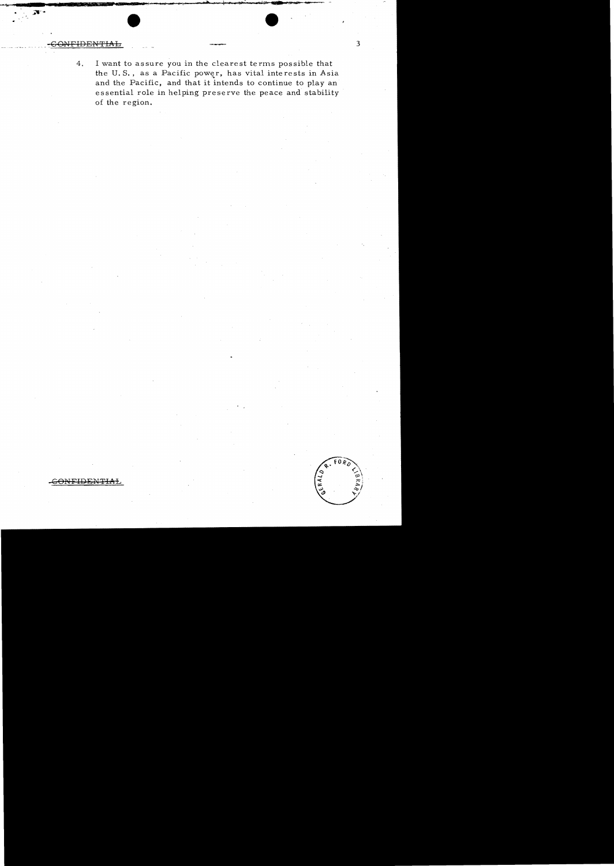I want to assure you in the clearest terms possible that  $4.$ the U.S., as a Pacific power, has vital interests in Asia and the Pacific, and that it intends to continue to play an essential role in helping preserve the peace and stability of the region.

<del>INFIDENTIAL</del>

FO  $RALO$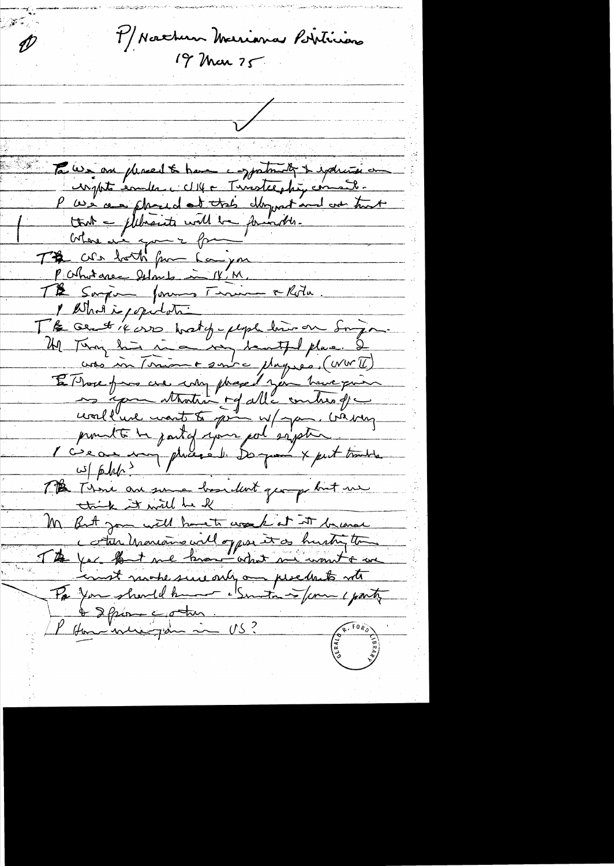T/ Nathern Marriana Ponticions  $\mathscr{D}$  $19$  Man  $25$ Tax We are pleased to have a symmetry & explicition or compte excela c'elle = Terresteeshing coment. P we are phoeld of the digent and we trust tout = plibraite will be pour des The cre both for hangon P Obotane Salmets in M.M. T & Sargion formes Terrino & Rota. le Athalia population E cent '4 orro watch- plych him on Singer Un Templan in a send plane of the same of the Core of the plane of the same plane of the same of the same of the same of the same of the same of the same of the same of the same of the same of the same of the same of the s  $\omega$  ph/2 The Thine are some heardent george but we think it will be h M But you will have to work at it because continuancie ullopper et as hustry to the year that me know what me wont + we En four should know a perelet ste P Home indication **ATALLAND**